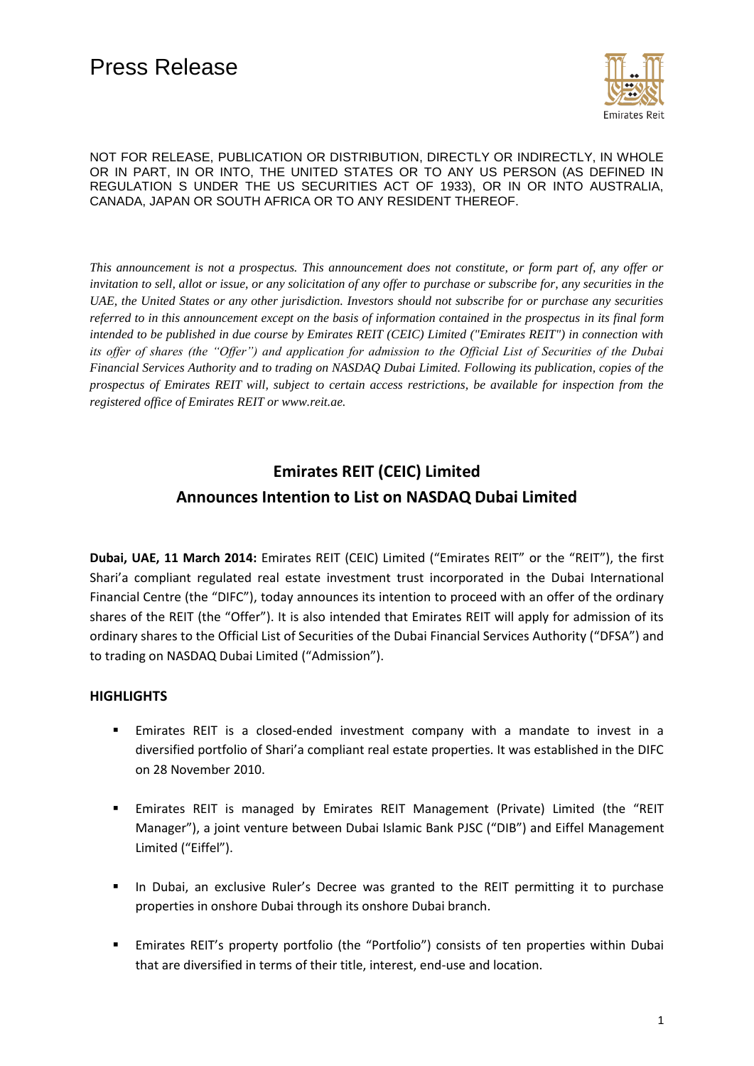

*This announcement is not a prospectus. This announcement does not constitute, or form part of, any offer or invitation to sell, allot or issue, or any solicitation of any offer to purchase or subscribe for, any securities in the UAE, the United States or any other jurisdiction. Investors should not subscribe for or purchase any securities referred to in this announcement except on the basis of information contained in the prospectus in its final form intended to be published in due course by Emirates REIT (CEIC) Limited ("Emirates REIT") in connection with its offer of shares (the "Offer") and application for admission to the Official List of Securities of the Dubai Financial Services Authority and to trading on NASDAQ Dubai Limited. Following its publication, copies of the prospectus of Emirates REIT will, subject to certain access restrictions, be available for inspection from the registered office of Emirates REIT or www.reit.ae.*

# **Emirates REIT (CEIC) Limited Announces Intention to List on NASDAQ Dubai Limited**

**Dubai, UAE, 11 March 2014:** Emirates REIT (CEIC) Limited ("Emirates REIT" or the "REIT"), the first Shari'a compliant regulated real estate investment trust incorporated in the Dubai International Financial Centre (the "DIFC"), today announces its intention to proceed with an offer of the ordinary shares of the REIT (the "Offer"). It is also intended that Emirates REIT will apply for admission of its ordinary shares to the Official List of Securities of the Dubai Financial Services Authority ("DFSA") and to trading on NASDAQ Dubai Limited ("Admission").

# **HIGHLIGHTS**

- Emirates REIT is a closed-ended investment company with a mandate to invest in a diversified portfolio of Shari'a compliant real estate properties. It was established in the DIFC on 28 November 2010.
- Emirates REIT is managed by Emirates REIT Management (Private) Limited (the "REIT Manager"), a joint venture between Dubai Islamic Bank PJSC ("DIB") and Eiffel Management Limited ("Eiffel").
- **In Dubai, an exclusive Ruler's Decree was granted to the REIT permitting it to purchase** properties in onshore Dubai through its onshore Dubai branch.
- Emirates REIT's property portfolio (the "Portfolio") consists of ten properties within Dubai that are diversified in terms of their title, interest, end-use and location.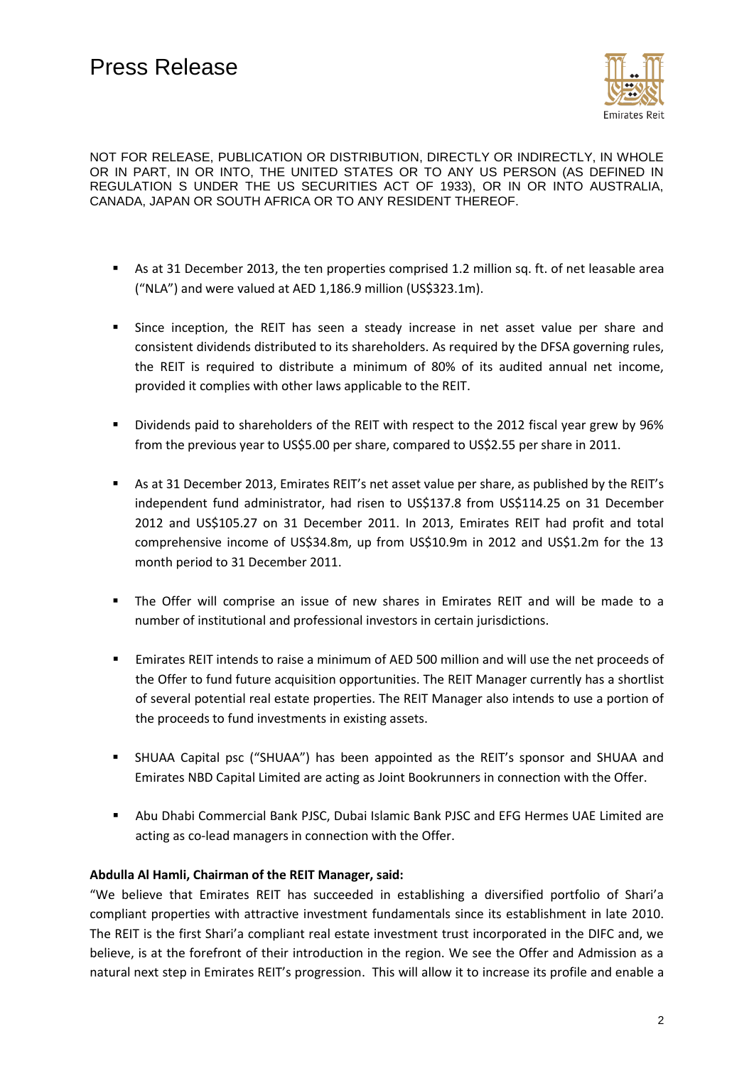

- As at 31 December 2013, the ten properties comprised 1.2 million sq. ft. of net leasable area ("NLA") and were valued at AED 1,186.9 million (US\$323.1m).
- **Since inception, the REIT has seen a steady increase in net asset value per share and** consistent dividends distributed to its shareholders. As required by the DFSA governing rules, the REIT is required to distribute a minimum of 80% of its audited annual net income, provided it complies with other laws applicable to the REIT.
- Dividends paid to shareholders of the REIT with respect to the 2012 fiscal year grew by 96% from the previous year to US\$5.00 per share, compared to US\$2.55 per share in 2011.
- As at 31 December 2013, Emirates REIT's net asset value per share, as published by the REIT's independent fund administrator, had risen to US\$137.8 from US\$114.25 on 31 December 2012 and US\$105.27 on 31 December 2011. In 2013, Emirates REIT had profit and total comprehensive income of US\$34.8m, up from US\$10.9m in 2012 and US\$1.2m for the 13 month period to 31 December 2011.
- The Offer will comprise an issue of new shares in Emirates REIT and will be made to a number of institutional and professional investors in certain jurisdictions.
- Emirates REIT intends to raise a minimum of AED 500 million and will use the net proceeds of the Offer to fund future acquisition opportunities. The REIT Manager currently has a shortlist of several potential real estate properties. The REIT Manager also intends to use a portion of the proceeds to fund investments in existing assets.
- SHUAA Capital psc ("SHUAA") has been appointed as the REIT's sponsor and SHUAA and Emirates NBD Capital Limited are acting as Joint Bookrunners in connection with the Offer.
- Abu Dhabi Commercial Bank PJSC, Dubai Islamic Bank PJSC and EFG Hermes UAE Limited are acting as co-lead managers in connection with the Offer.

## **Abdulla Al Hamli, Chairman of the REIT Manager, said:**

"We believe that Emirates REIT has succeeded in establishing a diversified portfolio of Shari'a compliant properties with attractive investment fundamentals since its establishment in late 2010. The REIT is the first Shari'a compliant real estate investment trust incorporated in the DIFC and, we believe, is at the forefront of their introduction in the region. We see the Offer and Admission as a natural next step in Emirates REIT's progression. This will allow it to increase its profile and enable a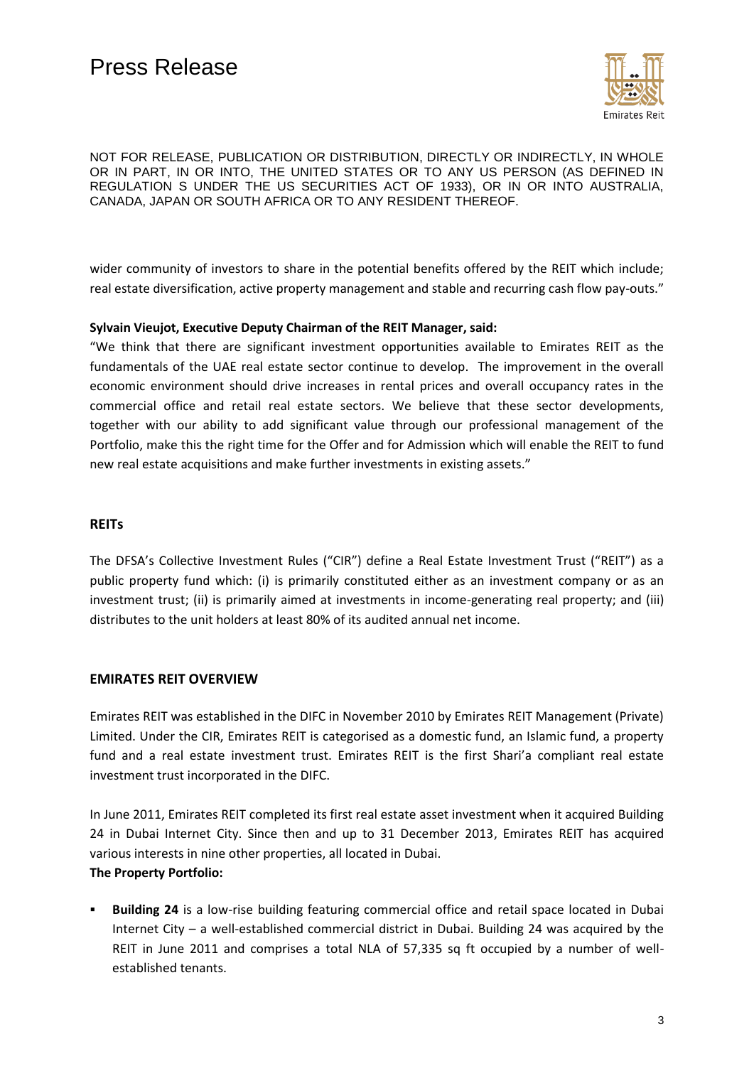

wider community of investors to share in the potential benefits offered by the REIT which include; real estate diversification, active property management and stable and recurring cash flow pay-outs."

## **Sylvain Vieujot, Executive Deputy Chairman of the REIT Manager, said:**

"We think that there are significant investment opportunities available to Emirates REIT as the fundamentals of the UAE real estate sector continue to develop. The improvement in the overall economic environment should drive increases in rental prices and overall occupancy rates in the commercial office and retail real estate sectors. We believe that these sector developments, together with our ability to add significant value through our professional management of the Portfolio, make this the right time for the Offer and for Admission which will enable the REIT to fund new real estate acquisitions and make further investments in existing assets."

## **REITs**

The DFSA's Collective Investment Rules ("CIR") define a Real Estate Investment Trust ("REIT") as a public property fund which: (i) is primarily constituted either as an investment company or as an investment trust; (ii) is primarily aimed at investments in income-generating real property; and (iii) distributes to the unit holders at least 80% of its audited annual net income.

## **EMIRATES REIT OVERVIEW**

Emirates REIT was established in the DIFC in November 2010 by Emirates REIT Management (Private) Limited. Under the CIR, Emirates REIT is categorised as a domestic fund, an Islamic fund, a property fund and a real estate investment trust. Emirates REIT is the first Shari'a compliant real estate investment trust incorporated in the DIFC.

In June 2011, Emirates REIT completed its first real estate asset investment when it acquired Building 24 in Dubai Internet City. Since then and up to 31 December 2013, Emirates REIT has acquired various interests in nine other properties, all located in Dubai. **The Property Portfolio:**

# **Building 24** is a low-rise building featuring commercial office and retail space located in Dubai Internet City – a well-established commercial district in Dubai. Building 24 was acquired by the REIT in June 2011 and comprises a total NLA of 57,335 sq ft occupied by a number of wellestablished tenants.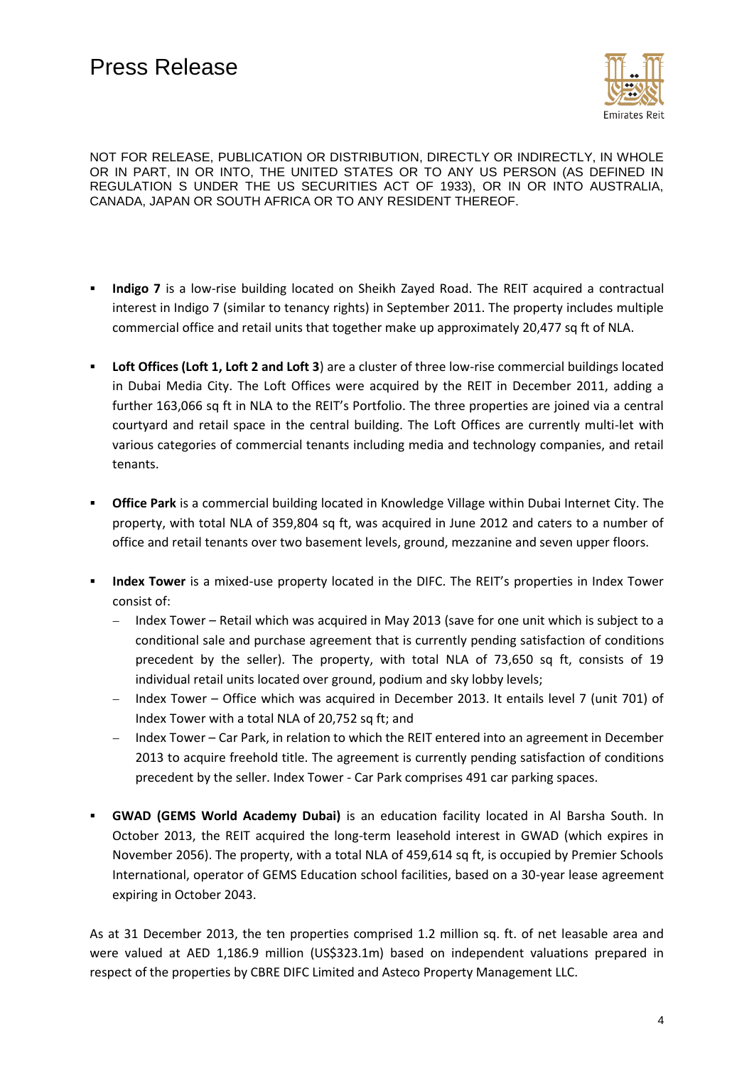

- **Indigo 7** is a low-rise building located on Sheikh Zayed Road. The REIT acquired a contractual interest in Indigo 7 (similar to tenancy rights) in September 2011. The property includes multiple commercial office and retail units that together make up approximately 20,477 sq ft of NLA.
- **Loft Offices (Loft 1, Loft 2 and Loft 3**) are a cluster of three low-rise commercial buildings located in Dubai Media City. The Loft Offices were acquired by the REIT in December 2011, adding a further 163,066 sq ft in NLA to the REIT's Portfolio. The three properties are joined via a central courtyard and retail space in the central building. The Loft Offices are currently multi-let with various categories of commercial tenants including media and technology companies, and retail tenants.
- **Office Park** is a commercial building located in Knowledge Village within Dubai Internet City. The property, with total NLA of 359,804 sq ft, was acquired in June 2012 and caters to a number of office and retail tenants over two basement levels, ground, mezzanine and seven upper floors.
- **Index Tower** is a mixed-use property located in the DIFC. The REIT's properties in Index Tower consist of:
	- Index Tower Retail which was acquired in May 2013 (save for one unit which is subject to a conditional sale and purchase agreement that is currently pending satisfaction of conditions precedent by the seller). The property, with total NLA of 73,650 sq ft, consists of 19 individual retail units located over ground, podium and sky lobby levels;
	- Index Tower Office which was acquired in December 2013. It entails level 7 (unit 701) of Index Tower with a total NLA of 20,752 sq ft; and
	- Index Tower Car Park, in relation to which the REIT entered into an agreement in December 2013 to acquire freehold title. The agreement is currently pending satisfaction of conditions precedent by the seller. Index Tower - Car Park comprises 491 car parking spaces.
- **GWAD (GEMS World Academy Dubai)** is an education facility located in Al Barsha South. In October 2013, the REIT acquired the long-term leasehold interest in GWAD (which expires in November 2056). The property, with a total NLA of 459,614 sq ft, is occupied by Premier Schools International, operator of GEMS Education school facilities, based on a 30-year lease agreement expiring in October 2043.

As at 31 December 2013, the ten properties comprised 1.2 million sq. ft. of net leasable area and were valued at AED 1,186.9 million (US\$323.1m) based on independent valuations prepared in respect of the properties by CBRE DIFC Limited and Asteco Property Management LLC.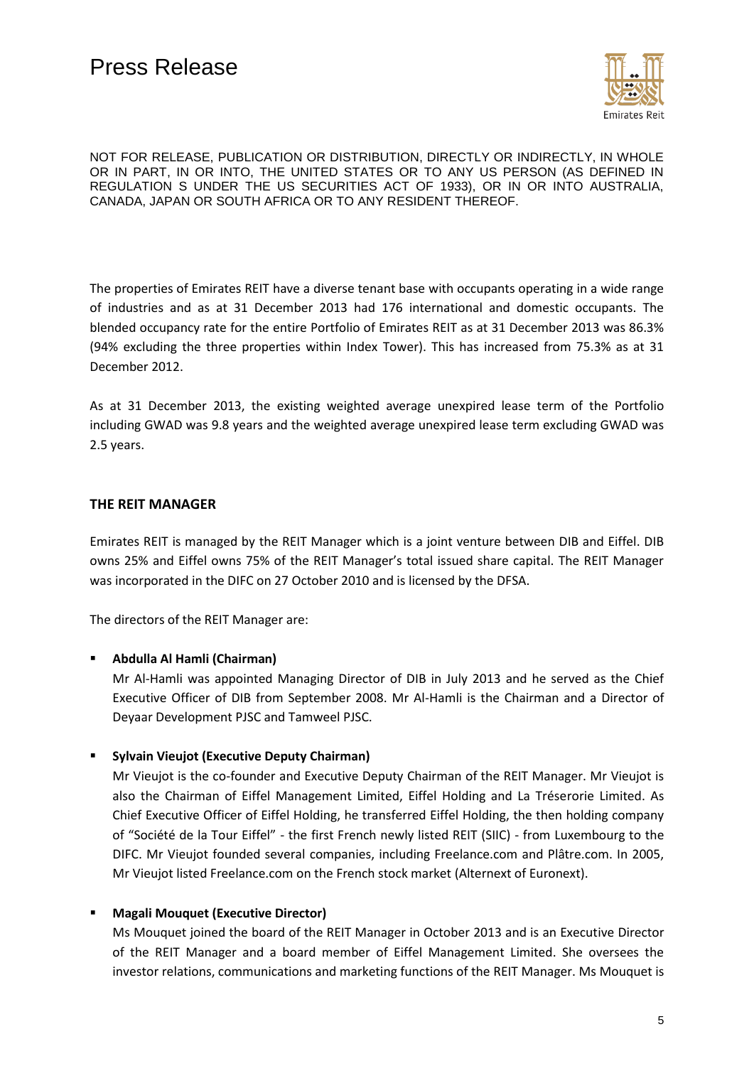

The properties of Emirates REIT have a diverse tenant base with occupants operating in a wide range of industries and as at 31 December 2013 had 176 international and domestic occupants. The blended occupancy rate for the entire Portfolio of Emirates REIT as at 31 December 2013 was 86.3% (94% excluding the three properties within Index Tower). This has increased from 75.3% as at 31 December 2012.

As at 31 December 2013, the existing weighted average unexpired lease term of the Portfolio including GWAD was 9.8 years and the weighted average unexpired lease term excluding GWAD was 2.5 years.

## **THE REIT MANAGER**

Emirates REIT is managed by the REIT Manager which is a joint venture between DIB and Eiffel. DIB owns 25% and Eiffel owns 75% of the REIT Manager's total issued share capital. The REIT Manager was incorporated in the DIFC on 27 October 2010 and is licensed by the DFSA.

The directors of the REIT Manager are:

#### **Abdulla Al Hamli (Chairman)**

Mr Al-Hamli was appointed Managing Director of DIB in July 2013 and he served as the Chief Executive Officer of DIB from September 2008. Mr Al-Hamli is the Chairman and a Director of Deyaar Development PJSC and Tamweel PJSC.

**Sylvain Vieujot (Executive Deputy Chairman)** 

Mr Vieujot is the co-founder and Executive Deputy Chairman of the REIT Manager. Mr Vieujot is also the Chairman of Eiffel Management Limited, Eiffel Holding and La Tréserorie Limited. As Chief Executive Officer of Eiffel Holding, he transferred Eiffel Holding, the then holding company of "Société de la Tour Eiffel" - the first French newly listed REIT (SIIC) - from Luxembourg to the DIFC. Mr Vieujot founded several companies, including Freelance.com and Plâtre.com. In 2005, Mr Vieujot listed Freelance.com on the French stock market (Alternext of Euronext).

## **Magali Mouquet (Executive Director)**

Ms Mouquet joined the board of the REIT Manager in October 2013 and is an Executive Director of the REIT Manager and a board member of Eiffel Management Limited. She oversees the investor relations, communications and marketing functions of the REIT Manager. Ms Mouquet is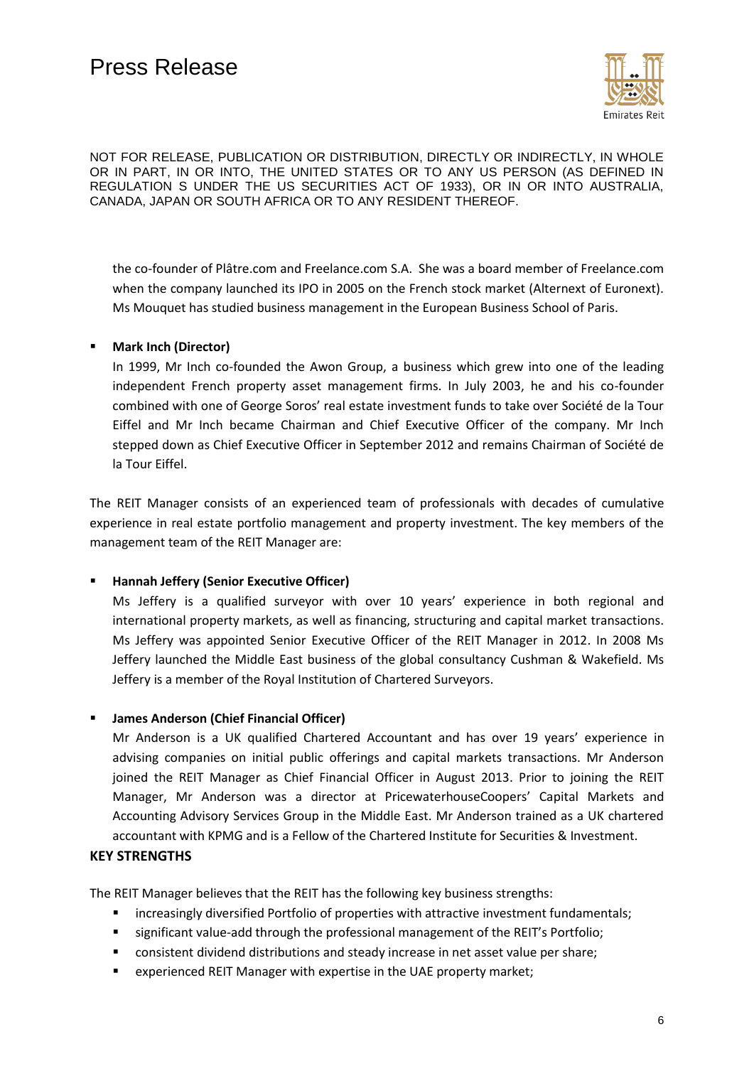

the co-founder of Plâtre.com and Freelance.com S.A. She was a board member of Freelance.com when the company launched its IPO in 2005 on the French stock market (Alternext of Euronext). Ms Mouquet has studied business management in the European Business School of Paris.

## **Mark Inch (Director)**

In 1999, Mr Inch co-founded the Awon Group, a business which grew into one of the leading independent French property asset management firms. In July 2003, he and his co-founder combined with one of George Soros' real estate investment funds to take over Société de la Tour Eiffel and Mr Inch became Chairman and Chief Executive Officer of the company. Mr Inch stepped down as Chief Executive Officer in September 2012 and remains Chairman of Société de la Tour Eiffel.

The REIT Manager consists of an experienced team of professionals with decades of cumulative experience in real estate portfolio management and property investment. The key members of the management team of the REIT Manager are:

#### **Hannah Jeffery (Senior Executive Officer)**

Ms Jeffery is a qualified surveyor with over 10 years' experience in both regional and international property markets, as well as financing, structuring and capital market transactions. Ms Jeffery was appointed Senior Executive Officer of the REIT Manager in 2012. In 2008 Ms Jeffery launched the Middle East business of the global consultancy Cushman & Wakefield. Ms Jeffery is a member of the Royal Institution of Chartered Surveyors.

#### **James Anderson (Chief Financial Officer)**

Mr Anderson is a UK qualified Chartered Accountant and has over 19 years' experience in advising companies on initial public offerings and capital markets transactions. Mr Anderson joined the REIT Manager as Chief Financial Officer in August 2013. Prior to joining the REIT Manager, Mr Anderson was a director at PricewaterhouseCoopers' Capital Markets and Accounting Advisory Services Group in the Middle East. Mr Anderson trained as a UK chartered accountant with KPMG and is a Fellow of the Chartered Institute for Securities & Investment.

#### **KEY STRENGTHS**

The REIT Manager believes that the REIT has the following key business strengths:

- **EXECT** increasingly diversified Portfolio of properties with attractive investment fundamentals;
- significant value-add through the professional management of the REIT's Portfolio;
- consistent dividend distributions and steady increase in net asset value per share;
- **EXPERIEF EXPERIEFS EXPERIET Manager with expertise in the UAE property market;**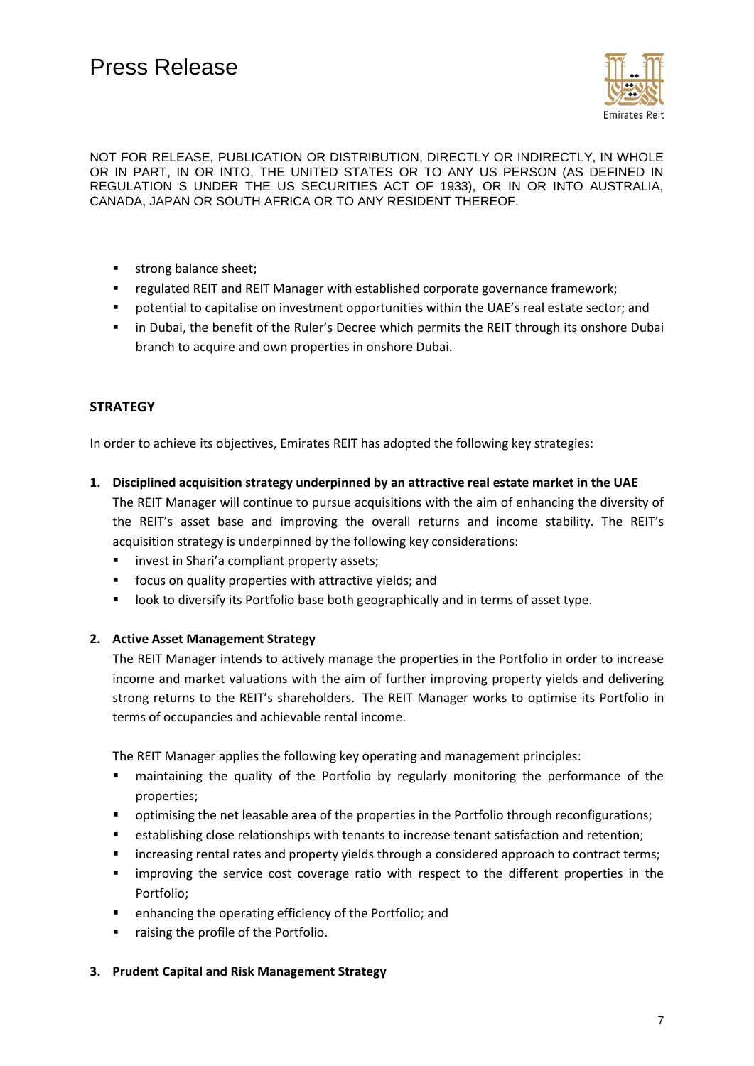

- **strong balance sheet;**
- **F** regulated REIT and REIT Manager with established corporate governance framework;
- potential to capitalise on investment opportunities within the UAE's real estate sector; and
- **In Dubai, the benefit of the Ruler's Decree which permits the REIT through its onshore Dubai** branch to acquire and own properties in onshore Dubai.

# **STRATEGY**

In order to achieve its objectives, Emirates REIT has adopted the following key strategies:

**1. Disciplined acquisition strategy underpinned by an attractive real estate market in the UAE** 

The REIT Manager will continue to pursue acquisitions with the aim of enhancing the diversity of the REIT's asset base and improving the overall returns and income stability. The REIT's acquisition strategy is underpinned by the following key considerations:

- **EXEDER** invest in Shari's compliant property assets;
- **F** focus on quality properties with attractive yields; and
- **If all ook to diversify its Portfolio base both geographically and in terms of asset type.**

## **2. Active Asset Management Strategy**

The REIT Manager intends to actively manage the properties in the Portfolio in order to increase income and market valuations with the aim of further improving property yields and delivering strong returns to the REIT's shareholders. The REIT Manager works to optimise its Portfolio in terms of occupancies and achievable rental income.

The REIT Manager applies the following key operating and management principles:

- maintaining the quality of the Portfolio by regularly monitoring the performance of the properties;
- **•** optimising the net leasable area of the properties in the Portfolio through reconfigurations;
- establishing close relationships with tenants to increase tenant satisfaction and retention;
- **EXEDERED FINDIO FINDIO THE VIET A** considered approach to contract terms;
- improving the service cost coverage ratio with respect to the different properties in the Portfolio;
- enhancing the operating efficiency of the Portfolio; and
- raising the profile of the Portfolio.

#### **3. Prudent Capital and Risk Management Strategy**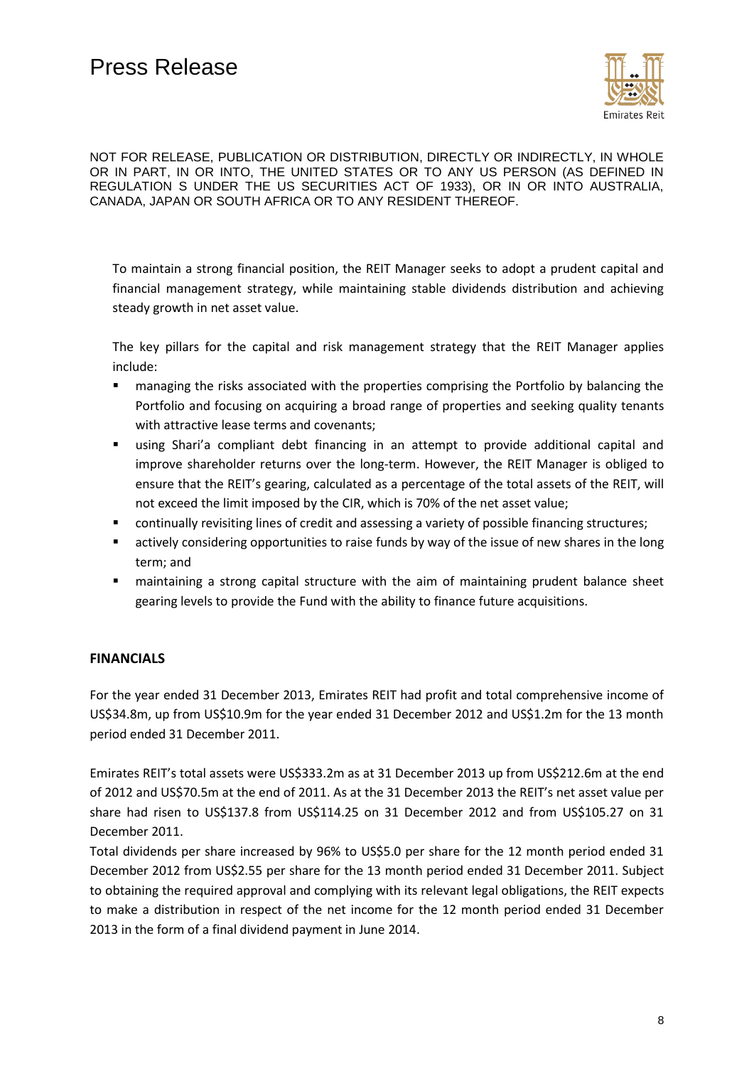

To maintain a strong financial position, the REIT Manager seeks to adopt a prudent capital and financial management strategy, while maintaining stable dividends distribution and achieving steady growth in net asset value.

The key pillars for the capital and risk management strategy that the REIT Manager applies include:

- managing the risks associated with the properties comprising the Portfolio by balancing the Portfolio and focusing on acquiring a broad range of properties and seeking quality tenants with attractive lease terms and covenants;
- using Shari'a compliant debt financing in an attempt to provide additional capital and improve shareholder returns over the long-term. However, the REIT Manager is obliged to ensure that the REIT's gearing, calculated as a percentage of the total assets of the REIT, will not exceed the limit imposed by the CIR, which is 70% of the net asset value;
- **EXEDENT** continually revisiting lines of credit and assessing a variety of possible financing structures;
- actively considering opportunities to raise funds by way of the issue of new shares in the long term; and
- maintaining a strong capital structure with the aim of maintaining prudent balance sheet gearing levels to provide the Fund with the ability to finance future acquisitions.

## **FINANCIALS**

For the year ended 31 December 2013, Emirates REIT had profit and total comprehensive income of US\$34.8m, up from US\$10.9m for the year ended 31 December 2012 and US\$1.2m for the 13 month period ended 31 December 2011.

Emirates REIT's total assets were US\$333.2m as at 31 December 2013 up from US\$212.6m at the end of 2012 and US\$70.5m at the end of 2011. As at the 31 December 2013 the REIT's net asset value per share had risen to US\$137.8 from US\$114.25 on 31 December 2012 and from US\$105.27 on 31 December 2011.

Total dividends per share increased by 96% to US\$5.0 per share for the 12 month period ended 31 December 2012 from US\$2.55 per share for the 13 month period ended 31 December 2011. Subject to obtaining the required approval and complying with its relevant legal obligations, the REIT expects to make a distribution in respect of the net income for the 12 month period ended 31 December 2013 in the form of a final dividend payment in June 2014.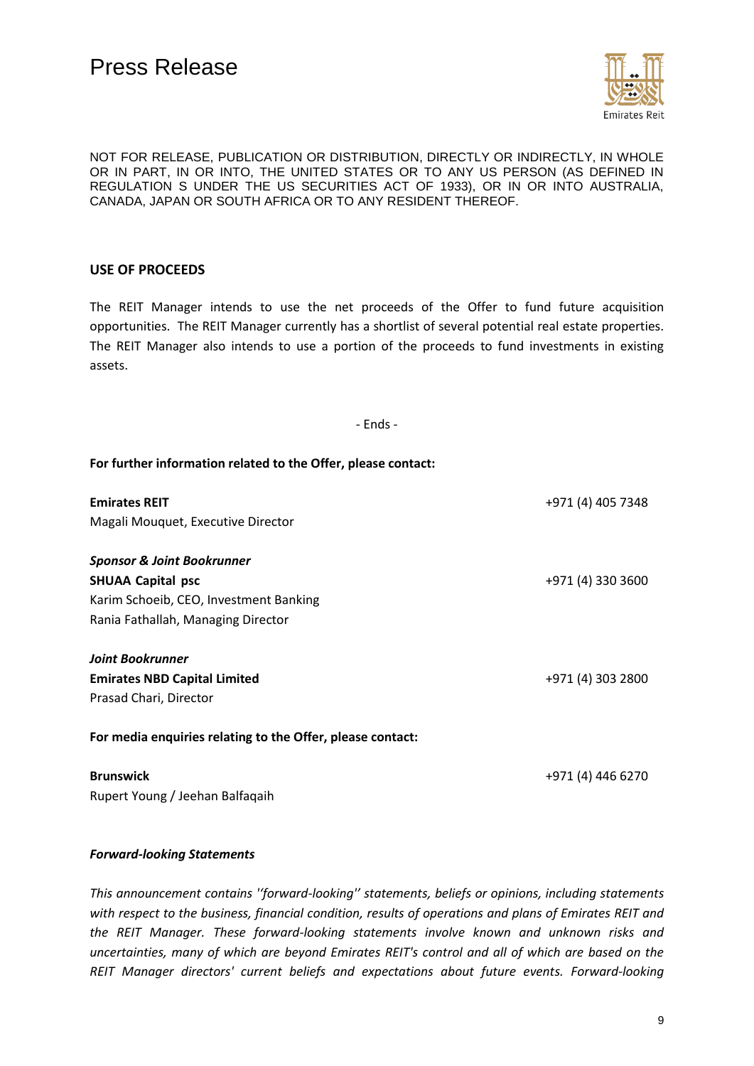

## **USE OF PROCEEDS**

The REIT Manager intends to use the net proceeds of the Offer to fund future acquisition opportunities. The REIT Manager currently has a shortlist of several potential real estate properties. The REIT Manager also intends to use a portion of the proceeds to fund investments in existing assets.

- Ends -

**For further information related to the Offer, please contact:**

| <b>Emirates REIT</b>                                       | +971 (4) 405 7348 |
|------------------------------------------------------------|-------------------|
| Magali Mouquet, Executive Director                         |                   |
|                                                            |                   |
| <b>Sponsor &amp; Joint Bookrunner</b>                      |                   |
| <b>SHUAA Capital psc</b>                                   | +971 (4) 330 3600 |
| Karim Schoeib, CEO, Investment Banking                     |                   |
| Rania Fathallah, Managing Director                         |                   |
|                                                            |                   |
| <b>Joint Bookrunner</b>                                    |                   |
| <b>Emirates NBD Capital Limited</b>                        | +971 (4) 303 2800 |
| Prasad Chari, Director                                     |                   |
|                                                            |                   |
| For media enquiries relating to the Offer, please contact: |                   |
|                                                            |                   |
| <b>Brunswick</b>                                           | +971 (4) 446 6270 |

Rupert Young / Jeehan Balfaqaih

#### *Forward-looking Statements*

*This announcement contains ''forward-looking'' statements, beliefs or opinions, including statements with respect to the business, financial condition, results of operations and plans of Emirates REIT and the REIT Manager. These forward-looking statements involve known and unknown risks and uncertainties, many of which are beyond Emirates REIT's control and all of which are based on the REIT Manager directors' current beliefs and expectations about future events. Forward-looking*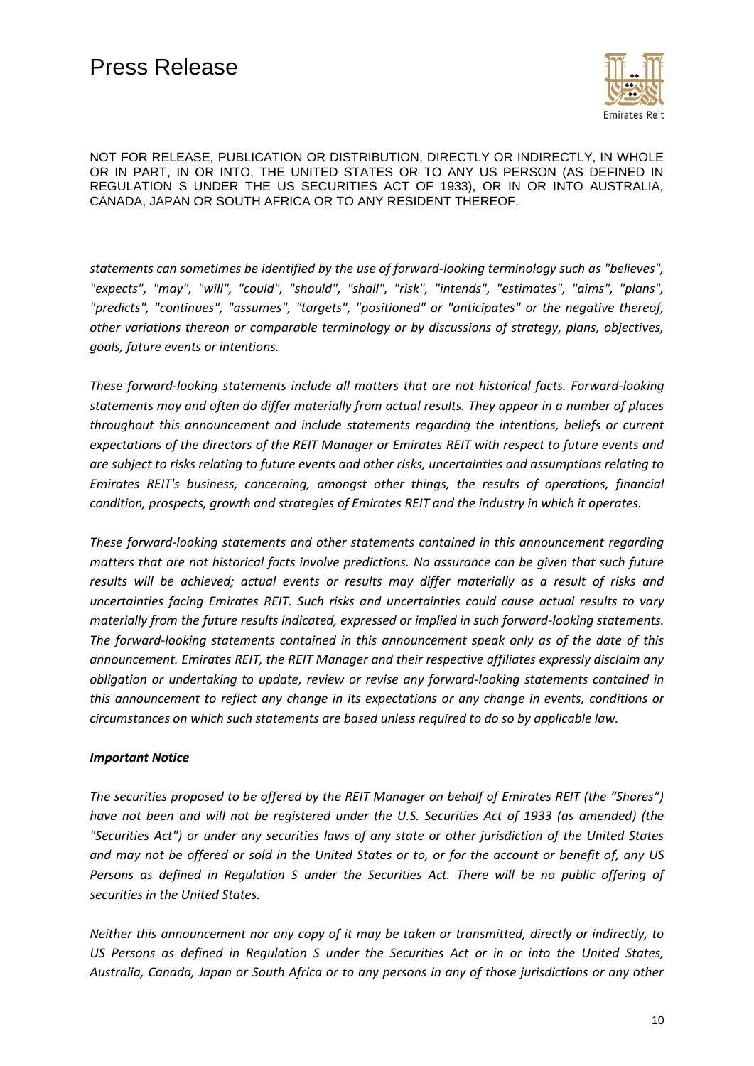

*statements can sometimes be identified by the use of forward-looking terminology such as "believes", "expects", "may", "will", "could", "should", "shall", "risk", "intends", "estimates", "aims", "plans", "predicts", "continues", "assumes", "targets", "positioned" or "anticipates" or the negative thereof, other variations thereon or comparable terminology or by discussions of strategy, plans, objectives, goals, future events or intentions.*

*These forward-looking statements include all matters that are not historical facts. Forward-looking statements may and often do differ materially from actual results. They appear in a number of places throughout this announcement and include statements regarding the intentions, beliefs or current expectations of the directors of the REIT Manager or Emirates REIT with respect to future events and are subject to risks relating to future events and other risks, uncertainties and assumptions relating to Emirates REIT's business, concerning, amongst other things, the results of operations, financial condition, prospects, growth and strategies of Emirates REIT and the industry in which it operates.*

*These forward-looking statements and other statements contained in this announcement regarding matters that are not historical facts involve predictions. No assurance can be given that such future results will be achieved; actual events or results may differ materially as a result of risks and uncertainties facing Emirates REIT. Such risks and uncertainties could cause actual results to vary materially from the future results indicated, expressed or implied in such forward-looking statements. The forward-looking statements contained in this announcement speak only as of the date of this announcement. Emirates REIT, the REIT Manager and their respective affiliates expressly disclaim any obligation or undertaking to update, review or revise any forward-looking statements contained in this announcement to reflect any change in its expectations or any change in events, conditions or circumstances on which such statements are based unless required to do so by applicable law.*

#### *Important Notice*

*The securities proposed to be offered by the REIT Manager on behalf of Emirates REIT (the "Shares") have not been and will not be registered under the U.S. Securities Act of 1933 (as amended) (the "Securities Act") or under any securities laws of any state or other jurisdiction of the United States and may not be offered or sold in the United States or to, or for the account or benefit of, any US Persons as defined in Regulation S under the Securities Act. There will be no public offering of securities in the United States.*

*Neither this announcement nor any copy of it may be taken or transmitted, directly or indirectly, to US Persons as defined in Regulation S under the Securities Act or in or into the United States, Australia, Canada, Japan or South Africa or to any persons in any of those jurisdictions or any other*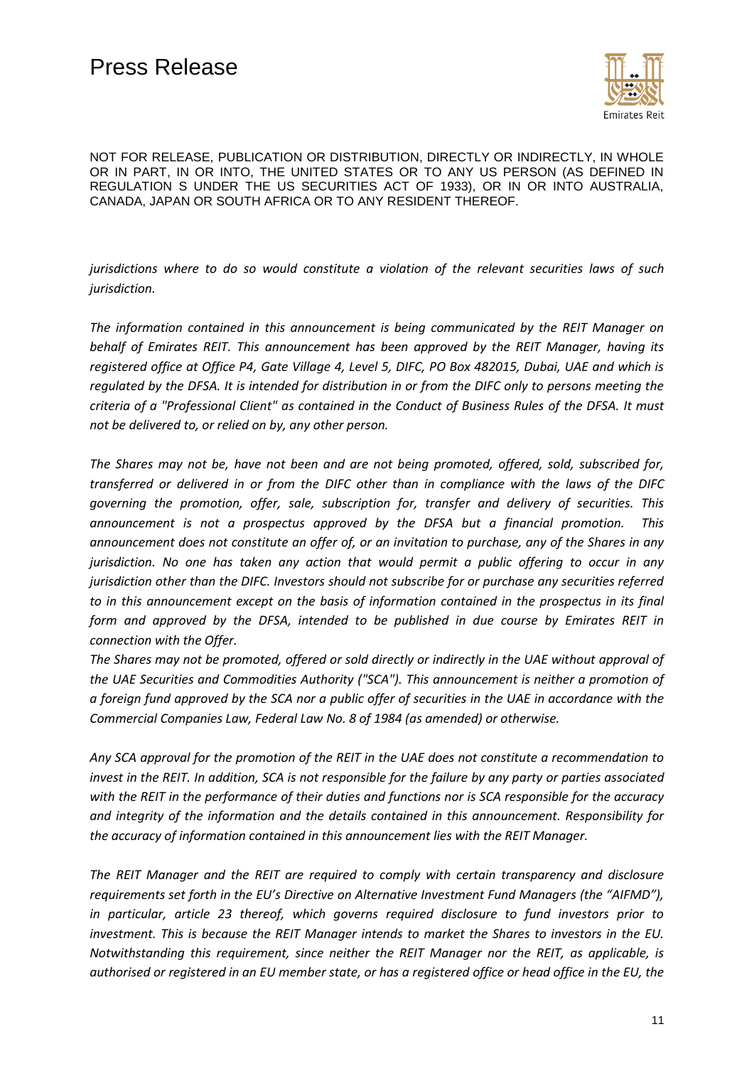

*jurisdictions where to do so would constitute a violation of the relevant securities laws of such jurisdiction.*

*The information contained in this announcement is being communicated by the REIT Manager on behalf of Emirates REIT. This announcement has been approved by the REIT Manager, having its registered office at Office P4, Gate Village 4, Level 5, DIFC, PO Box 482015, Dubai, UAE and which is regulated by the DFSA. It is intended for distribution in or from the DIFC only to persons meeting the criteria of a "Professional Client" as contained in the Conduct of Business Rules of the DFSA. It must not be delivered to, or relied on by, any other person.* 

*The Shares may not be, have not been and are not being promoted, offered, sold, subscribed for, transferred or delivered in or from the DIFC other than in compliance with the laws of the DIFC governing the promotion, offer, sale, subscription for, transfer and delivery of securities. This announcement is not a prospectus approved by the DFSA but a financial promotion. This announcement does not constitute an offer of, or an invitation to purchase, any of the Shares in any jurisdiction. No one has taken any action that would permit a public offering to occur in any jurisdiction other than the DIFC. Investors should not subscribe for or purchase any securities referred to in this announcement except on the basis of information contained in the prospectus in its final form and approved by the DFSA, intended to be published in due course by Emirates REIT in connection with the Offer.*

*The Shares may not be promoted, offered or sold directly or indirectly in the UAE without approval of the UAE Securities and Commodities Authority ("SCA"). This announcement is neither a promotion of a foreign fund approved by the SCA nor a public offer of securities in the UAE in accordance with the Commercial Companies Law, Federal Law No. 8 of 1984 (as amended) or otherwise.*

*Any SCA approval for the promotion of the REIT in the UAE does not constitute a recommendation to invest in the REIT. In addition, SCA is not responsible for the failure by any party or parties associated with the REIT in the performance of their duties and functions nor is SCA responsible for the accuracy and integrity of the information and the details contained in this announcement. Responsibility for the accuracy of information contained in this announcement lies with the REIT Manager.*

*The REIT Manager and the REIT are required to comply with certain transparency and disclosure requirements set forth in the EU's Directive on Alternative Investment Fund Managers (the "AIFMD"), in particular, article 23 thereof, which governs required disclosure to fund investors prior to investment. This is because the REIT Manager intends to market the Shares to investors in the EU. Notwithstanding this requirement, since neither the REIT Manager nor the REIT, as applicable, is authorised or registered in an EU member state, or has a registered office or head office in the EU, the*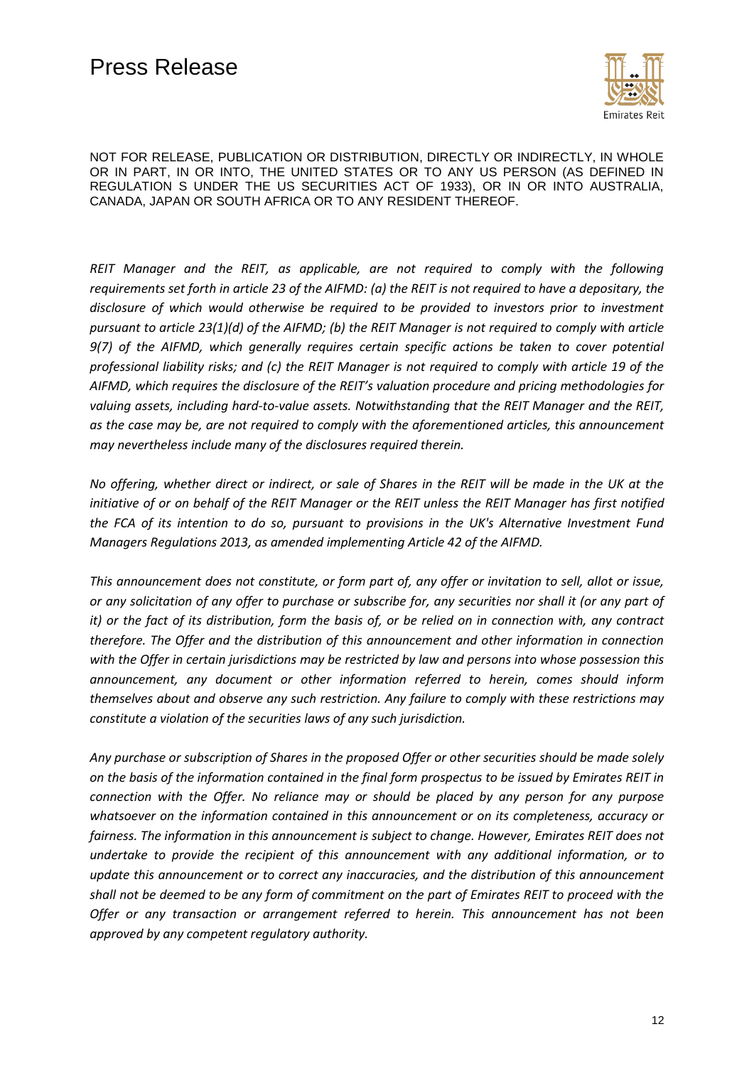

*REIT Manager and the REIT, as applicable, are not required to comply with the following requirements set forth in article 23 of the AIFMD: (a) the REIT is not required to have a depositary, the disclosure of which would otherwise be required to be provided to investors prior to investment pursuant to article 23(1)(d) of the AIFMD; (b) the REIT Manager is not required to comply with article 9(7) of the AIFMD, which generally requires certain specific actions be taken to cover potential professional liability risks; and (c) the REIT Manager is not required to comply with article 19 of the AIFMD, which requires the disclosure of the REIT's valuation procedure and pricing methodologies for valuing assets, including hard-to-value assets. Notwithstanding that the REIT Manager and the REIT, as the case may be, are not required to comply with the aforementioned articles, this announcement may nevertheless include many of the disclosures required therein.*

*No offering, whether direct or indirect, or sale of Shares in the REIT will be made in the UK at the initiative of or on behalf of the REIT Manager or the REIT unless the REIT Manager has first notified the FCA of its intention to do so, pursuant to provisions in the UK's Alternative Investment Fund Managers Regulations 2013, as amended implementing Article 42 of the AIFMD.*

*This announcement does not constitute, or form part of, any offer or invitation to sell, allot or issue, or any solicitation of any offer to purchase or subscribe for, any securities nor shall it (or any part of it) or the fact of its distribution, form the basis of, or be relied on in connection with, any contract therefore. The Offer and the distribution of this announcement and other information in connection with the Offer in certain jurisdictions may be restricted by law and persons into whose possession this announcement, any document or other information referred to herein, comes should inform themselves about and observe any such restriction. Any failure to comply with these restrictions may constitute a violation of the securities laws of any such jurisdiction.*

*Any purchase or subscription of Shares in the proposed Offer or other securities should be made solely on the basis of the information contained in the final form prospectus to be issued by Emirates REIT in connection with the Offer. No reliance may or should be placed by any person for any purpose whatsoever on the information contained in this announcement or on its completeness, accuracy or fairness. The information in this announcement is subject to change. However, Emirates REIT does not undertake to provide the recipient of this announcement with any additional information, or to update this announcement or to correct any inaccuracies, and the distribution of this announcement shall not be deemed to be any form of commitment on the part of Emirates REIT to proceed with the Offer or any transaction or arrangement referred to herein. This announcement has not been approved by any competent regulatory authority.*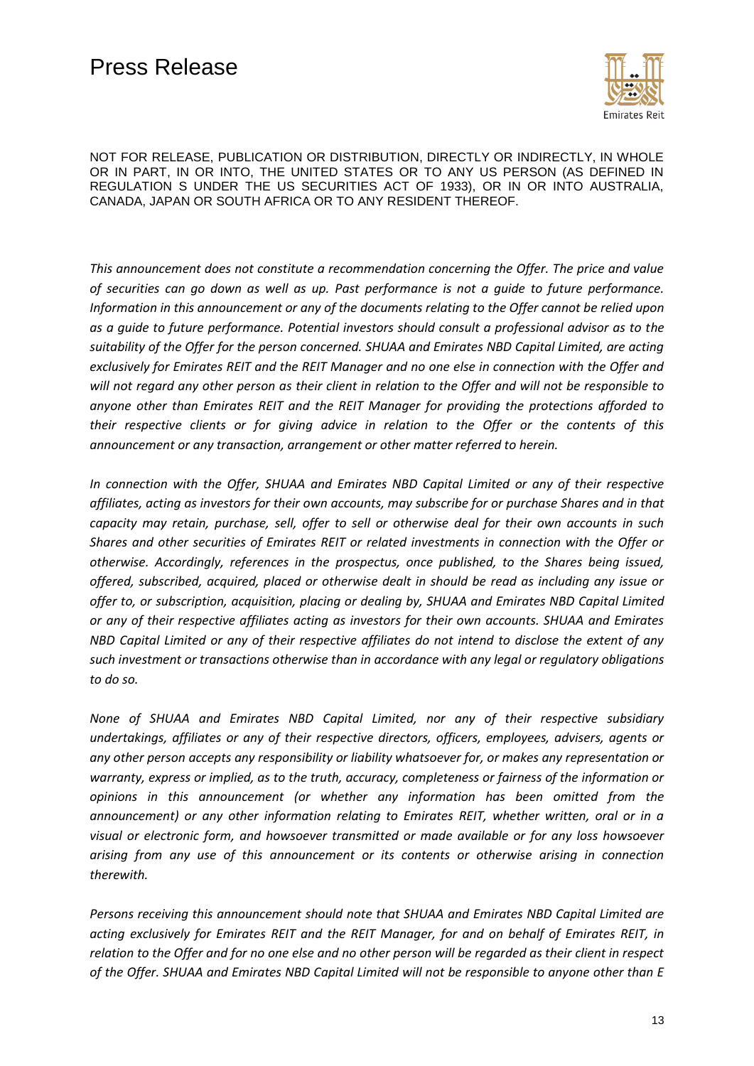

*This announcement does not constitute a recommendation concerning the Offer. The price and value of securities can go down as well as up. Past performance is not a guide to future performance. Information in this announcement or any of the documents relating to the Offer cannot be relied upon as a guide to future performance. Potential investors should consult a professional advisor as to the suitability of the Offer for the person concerned. SHUAA and Emirates NBD Capital Limited, are acting exclusively for Emirates REIT and the REIT Manager and no one else in connection with the Offer and will not regard any other person as their client in relation to the Offer and will not be responsible to anyone other than Emirates REIT and the REIT Manager for providing the protections afforded to their respective clients or for giving advice in relation to the Offer or the contents of this announcement or any transaction, arrangement or other matter referred to herein.*

*In connection with the Offer, SHUAA and Emirates NBD Capital Limited or any of their respective affiliates, acting as investors for their own accounts, may subscribe for or purchase Shares and in that capacity may retain, purchase, sell, offer to sell or otherwise deal for their own accounts in such Shares and other securities of Emirates REIT or related investments in connection with the Offer or otherwise. Accordingly, references in the prospectus, once published, to the Shares being issued, offered, subscribed, acquired, placed or otherwise dealt in should be read as including any issue or offer to, or subscription, acquisition, placing or dealing by, SHUAA and Emirates NBD Capital Limited or any of their respective affiliates acting as investors for their own accounts. SHUAA and Emirates NBD Capital Limited or any of their respective affiliates do not intend to disclose the extent of any such investment or transactions otherwise than in accordance with any legal or regulatory obligations to do so.*

*None of SHUAA and Emirates NBD Capital Limited, nor any of their respective subsidiary undertakings, affiliates or any of their respective directors, officers, employees, advisers, agents or any other person accepts any responsibility or liability whatsoever for, or makes any representation or warranty, express or implied, as to the truth, accuracy, completeness or fairness of the information or opinions in this announcement (or whether any information has been omitted from the announcement) or any other information relating to Emirates REIT, whether written, oral or in a visual or electronic form, and howsoever transmitted or made available or for any loss howsoever arising from any use of this announcement or its contents or otherwise arising in connection therewith.*

*Persons receiving this announcement should note that SHUAA and Emirates NBD Capital Limited are acting exclusively for Emirates REIT and the REIT Manager, for and on behalf of Emirates REIT, in relation to the Offer and for no one else and no other person will be regarded as their client in respect of the Offer. SHUAA and Emirates NBD Capital Limited will not be responsible to anyone other than E*